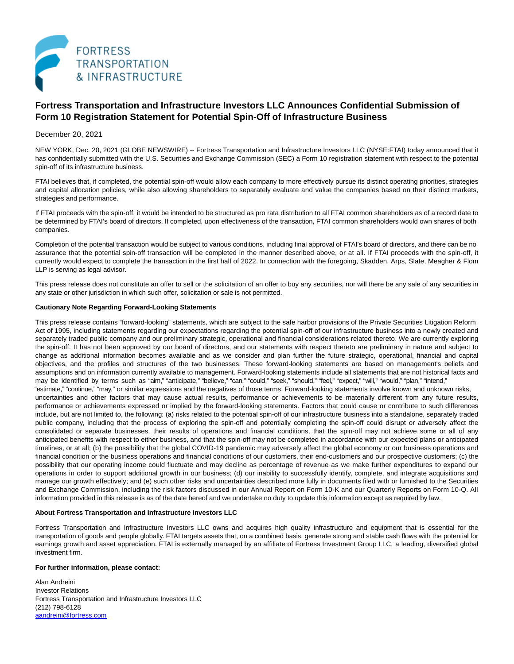

# **Fortress Transportation and Infrastructure Investors LLC Announces Confidential Submission of Form 10 Registration Statement for Potential Spin-Off of Infrastructure Business**

## December 20, 2021

NEW YORK, Dec. 20, 2021 (GLOBE NEWSWIRE) -- Fortress Transportation and Infrastructure Investors LLC (NYSE:FTAI) today announced that it has confidentially submitted with the U.S. Securities and Exchange Commission (SEC) a Form 10 registration statement with respect to the potential spin-off of its infrastructure business.

FTAI believes that, if completed, the potential spin-off would allow each company to more effectively pursue its distinct operating priorities, strategies and capital allocation policies, while also allowing shareholders to separately evaluate and value the companies based on their distinct markets, strategies and performance.

If FTAI proceeds with the spin-off, it would be intended to be structured as pro rata distribution to all FTAI common shareholders as of a record date to be determined by FTAI's board of directors. If completed, upon effectiveness of the transaction, FTAI common shareholders would own shares of both companies.

Completion of the potential transaction would be subject to various conditions, including final approval of FTAI's board of directors, and there can be no assurance that the potential spin-off transaction will be completed in the manner described above, or at all. If FTAI proceeds with the spin-off, it currently would expect to complete the transaction in the first half of 2022. In connection with the foregoing, Skadden, Arps, Slate, Meagher & Flom LLP is serving as legal advisor.

This press release does not constitute an offer to sell or the solicitation of an offer to buy any securities, nor will there be any sale of any securities in any state or other jurisdiction in which such offer, solicitation or sale is not permitted.

### **Cautionary Note Regarding Forward-Looking Statements**

This press release contains "forward-looking" statements, which are subject to the safe harbor provisions of the Private Securities Litigation Reform Act of 1995, including statements regarding our expectations regarding the potential spin-off of our infrastructure business into a newly created and separately traded public company and our preliminary strategic, operational and financial considerations related thereto. We are currently exploring the spin-off. It has not been approved by our board of directors, and our statements with respect thereto are preliminary in nature and subject to change as additional information becomes available and as we consider and plan further the future strategic, operational, financial and capital objectives, and the profiles and structures of the two businesses. These forward-looking statements are based on management's beliefs and assumptions and on information currently available to management. Forward-looking statements include all statements that are not historical facts and may be identified by terms such as "aim," "anticipate," "believe," "can," "could," "seek," "should," "feel," "expect," "will," "would," "plan," "intend," "estimate," "continue," "may," or similar expressions and the negatives of those terms. Forward-looking statements involve known and unknown risks, uncertainties and other factors that may cause actual results, performance or achievements to be materially different from any future results, performance or achievements expressed or implied by the forward-looking statements. Factors that could cause or contribute to such differences include, but are not limited to, the following: (a) risks related to the potential spin-off of our infrastructure business into a standalone, separately traded public company, including that the process of exploring the spin-off and potentially completing the spin-off could disrupt or adversely affect the consolidated or separate businesses, their results of operations and financial conditions, that the spin-off may not achieve some or all of any anticipated benefits with respect to either business, and that the spin-off may not be completed in accordance with our expected plans or anticipated timelines, or at all; (b) the possibility that the global COVID-19 pandemic may adversely affect the global economy or our business operations and financial condition or the business operations and financial conditions of our customers, their end-customers and our prospective customers; (c) the possibility that our operating income could fluctuate and may decline as percentage of revenue as we make further expenditures to expand our operations in order to support additional growth in our business; (d) our inability to successfully identify, complete, and integrate acquisitions and manage our growth effectively; and (e) such other risks and uncertainties described more fully in documents filed with or furnished to the Securities and Exchange Commission, including the risk factors discussed in our Annual Report on Form 10-K and our Quarterly Reports on Form 10-Q. All

information provided in this release is as of the date hereof and we undertake no duty to update this information except as required by law.

#### **About Fortress Transportation and Infrastructure Investors LLC**

Fortress Transportation and Infrastructure Investors LLC owns and acquires high quality infrastructure and equipment that is essential for the transportation of goods and people globally. FTAI targets assets that, on a combined basis, generate strong and stable cash flows with the potential for earnings growth and asset appreciation. FTAI is externally managed by an affiliate of Fortress Investment Group LLC, a leading, diversified global investment firm.

#### **For further information, please contact:**

Alan Andreini Investor Relations Fortress Transportation and Infrastructure Investors LLC (212) 798-6128 [aandreini@fortress.com](https://www.globenewswire.com/Tracker?data=Tyh4qpq1nnarWORL60JMOJx0tbznaUe0xQq-tucsOBYy-d5AzQ_o2xV2Wy1USGVzDDnoS8r7SrtzJkjjTLHKbK4v6ngUVtzlu38bNATsOtU=)